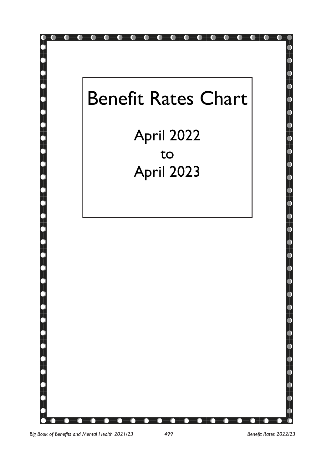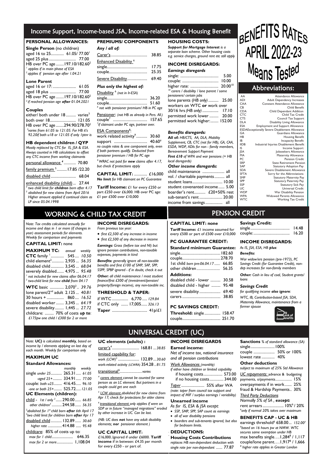### Income Support, Income-based JSA, Income-related ESA & Housing Benefit

### **PERSONAL ALLOWANCES:**

| Single Person (no children)                       |  |  |
|---------------------------------------------------|--|--|
| aged 16 to 25 61.05/77.00                         |  |  |
| aged 25 plus 77.00                                |  |  |
| HB over PC age  197.10/182.60 <sup>2</sup>        |  |  |
| <sup>1</sup> applies if in main phase of ESA      |  |  |
| <sup>2</sup> applies if pension age after 1.04.21 |  |  |

#### **Lone Parent**

|                                                             | 61.05 |  |
|-------------------------------------------------------------|-------|--|
|                                                             |       |  |
| HB over PC age  197.10/182.60 <sup>2</sup>                  |       |  |
| <sup>2</sup> if reached pension age <b>after</b> 01.04.2021 |       |  |

#### **Couples**

| either/ both under 18 varies <sup>3</sup>             |  |
|-------------------------------------------------------|--|
|                                                       |  |
| HB over PC age 294.90/278.70 <sup>2</sup>             |  |
| <sup>3</sup> varies from 61.05 to 121.05. For HB it's |  |
| 92.20if both u18 or 121.05 if only 1ptnr is           |  |

#### **HB dependent children / QYP**

| Mostly replaced by CTC for IS, JSA & ESA.<br>Always counted in HB calculations to offset<br>any CTC income from working claimants |  |
|-----------------------------------------------------------------------------------------------------------------------------------|--|
| personal allowance <sup>4</sup> 70.80                                                                                             |  |
| family premium <sup>5</sup> 17.85 /22.20                                                                                          |  |
|                                                                                                                                   |  |
| enhanced disability (child)  27.44<br><sup>4</sup> two child limit for <b>children</b> born after 4 17                            |  |

*5 abolished for new claims from April 2016 Higher amount applied if continual claim as LP since 05.04.1998*

*Note: Tax credits calculated annually for income and days in 1 or more (if changes in year) assessment periods for elements. Weekly for comparison and payments*  **CAPITAL LIMIT:** none **MAXIMUM TC:** *annual weekly* **CTC** family <sup>1</sup> ............. 545.... *10.50* child element<sup>2</sup> ............ 2,935 ... *56.35* disabled child ............. 3,545 ... *68.04* severely disabled....... 4,975 ... *95.48 1 not included for new claims after 06.04.17 2 two-child limit for new child from 04.17* **WTC** basic .............. 2,070<sup>3</sup>.. 39.76 lone parent/2nd adult 2.125 ... *40.81* 30 hours + ................. 860.... *16.52* disabled worker........ 3,345 ... *64.19* severe disability......... 1,445 ... *27.72* childcare: ......... 70% of costs *up to*: *£175pw one child / £300 for 2 or more*

**PREMIUMS/ COMPONENTS**

| 38.85                      |
|----------------------------|
|                            |
| 17.75                      |
| 25.35                      |
| 69.40<br>Severe Disability |
|                            |

### *Plus only the highest of:*

| Disability <sup>6</sup> (not in Ir-ESA)                                                                                                                                                                                                                                                                                                                                                               |       |
|-------------------------------------------------------------------------------------------------------------------------------------------------------------------------------------------------------------------------------------------------------------------------------------------------------------------------------------------------------------------------------------------------------|-------|
|                                                                                                                                                                                                                                                                                                                                                                                                       | 36.20 |
|                                                                                                                                                                                                                                                                                                                                                                                                       |       |
| $^6$ not with pensioner premium/ HB in PC age                                                                                                                                                                                                                                                                                                                                                         |       |
| $\mathbf{D}_{\text{max}}$ : $\mathbf{D}_{\text{max}}$ : $\mathbf{D}_{\text{max}}$ : $\mathbf{D}_{\text{max}}$ : $\mathbf{D}_{\text{max}}$ : $\mathbf{D}_{\text{max}}$ : $\mathbf{D}_{\text{max}}$ : $\mathbf{D}_{\text{max}}$ : $\mathbf{D}_{\text{max}}$ : $\mathbf{D}_{\text{max}}$ : $\mathbf{D}_{\text{max}}$ : $\mathbf{D}_{\text{max}}$ : $\mathbf{D}_{\text{max}}$ : $\mathbf{D}_{\text{max}}$ |       |

Pensioner: *(not HB as already in Pers. All.)* couple<sup>7</sup> .................................. 157.65 *7 if claimant under PC age, partner over.*  ESA Components<sup>8</sup>:

| 50.150110011001                            |           |  |
|--------------------------------------------|-----------|--|
| work related activity <sup>9</sup> 30.60   |           |  |
| support                                    | $40.60^8$ |  |
| no couple rates & one component only, even |           |  |
| if both partners qualify. Deducted from    |           |  |
| pensioner premium / HB for PC age          |           |  |

*<sup>9</sup>WRAC not paid for new claims after 4.17, but check if protections apply* 

**CAPITAL LIMIT:** ............. £16,000 *No limit for HB claimant on PC Guarantee*

**Tariff Income:** £1 for every £250 or part £250 over £6,000. HB over PC age: £1 per £500 over £10,000

**INCOME DISREGARDS:** *From previous tax year:*

WORKING & CHILD TAX CREDIT

• *first £2,500 of any increase in income* • *first £2,500 of any decrease in income Earnings: Gross (before tax and NI) but ignore pension contributions, non-taxable expenses, payments in kind*

*Benefits: generally ignore all non-taxable benefits and first £100 of SMP, SAP, SPP, SSPP, SPBP ignored - if in doubt, check it out Other: all child maintenance / most student finance/first £300 of (investment/pension/ property/foreign income), any non-taxable inc.* **THRESHOLD & TAPER:** if WTC ................ 6,770 ..... *129.84* if CTC only ....... 17,005...... *326.13*  **Taper** ................................... 41p/£1

### **HOUSING COSTS:**

*Support for Mortgage Interest is a separate loan scheme. Other housing costs e.g. service charges, ground rent etc still apply*

#### **INCOME DISREGARDS:**

| Earnings disregards                                    |       |
|--------------------------------------------------------|-------|
|                                                        | 5.00  |
|                                                        | 10.00 |
| higher rate:  20.00 <sup>10</sup>                      |       |
| <sup>10</sup> carers / disability / lone parent / some |       |
| pensioners/ certain jobs                               |       |
| lone parents (HB only)  25.00                          |       |
| workers on WTC or work over                            |       |
| 30/16 hrs (HB only)  17.10                             |       |
| permitted work lower  20.00                            |       |
| permitted work higher: 152.00                          |       |
|                                                        |       |

#### *Benefits disregards:*

| All of: HB/CTS, AA, DLA, Mobility          |
|--------------------------------------------|
| Supplement, CB, CTC (not for HB), GA, CAA, |
| ESDA, WDP, ADIs for non - family members,  |
| Bereavement Support Payment                |
| First £10 of WPA and war pensions (+ HB    |
| local disregards)                          |
| Other income disregards:                   |
| child maintenance  all                     |
| vol. / charitable payments all             |
| student loans 10.00                        |
| student covenanted income 5.00             |
| boarder's rent  £20+50% rest               |
| sub-tenant's rent  20.00                   |

# BENEFITS RATES **APRIL 2022-23** Means Tested

### Abbreviations:

| AA<br><b>ADI</b> | Attendance Allowance<br><b>Adult Dependency Increases</b> |
|------------------|-----------------------------------------------------------|
| CAA              | Constant Attendance Allowance                             |
| <b>CB</b>        | Child Benefit                                             |
| CDA              | Child Dependant Addition                                  |
| CTC              | Child Tax Credit                                          |
| <b>CTS</b>       | Council Tax Support                                       |
| <b>DLA</b>       | <b>Disability Living Allowance</b>                        |
| <b>ESA</b>       | <b>Employment and Support Allowance</b>                   |
|                  | <b>ESDAExceptionally Severe Disablement Allowance</b>     |
| GA               | Guardians Allowance                                       |
| HB               | <b>Housing Benefit</b>                                    |
| IB               | <b>Incapacity Benefit</b>                                 |
| <b>IIDB</b>      | Industrial Injuries Disablement Benefit                   |
| IS               | Income Support                                            |
| <b>JSA</b>       | Jobseekers Allowance                                      |
| MA               | Maternity Allowance                                       |
| PC.              | Pension Credit                                            |
| <b>SRP</b>       | <b>State Retirement Pension</b>                           |
| SAP              | Statutory Adoption Pay                                    |
| <b>SDA</b>       | Severe Disablement Allowance                              |
| <b>SFTA</b>      | Sorry for the Abbreviations                               |
| <b>SMP</b>       | <b>Statutory Maternity Pay</b>                            |
| SPP              | Statutory Paternity Pay                                   |
| SSP              | <b>Statutory Sick Pay</b>                                 |
| UC               | Universal Credit                                          |
| <b>WDP</b>       | War Disability Pension                                    |
| <b>WPA</b>       | <b>Widowed Parents Allowance</b>                          |
| <b>WTC</b>       | <b>Working Tax Credit</b>                                 |
|                  |                                                           |

### PENSION CREDIT

### **CAPITAL LIMIT: none**

**Tariff Income:** £1 income assumed for every £500 or part of £500 over £10,000

#### **PC GUARANTEE CREDIT:**

income from savings................. all

| <b>Standard minimum Guarantee:</b> |        |
|------------------------------------|--------|
|                                    |        |
| 1st child born pre-06.04.17 66.85  |        |
|                                    | 56.35  |
| <b>Additions:</b>                  |        |
| disabled child - lower             | 30.58  |
| disabled child - higher            | 95.48  |
| severe disability                  | 69.40  |
|                                    | 38.85  |
| <b>PC SAVINGS CREDIT:</b>          |        |
| <b>Threshold:</b> single           | 158.47 |

couple...................................... 251.70

**Savings Credit:** single....................................... 14.48 couple:.................................... 16.20

#### **INCOME DISREGARDS:**

#### *As IS, JSA, ESA, HB plus:*

#### *Benefits:*

*War widow/ers pension (pre-1973), PC Savings Credit (for Guarantee Credit), nondep increases for non-family members*

*Other: Cash in lieu of coal, Student grants/ loans* 

#### *Savings Credit*

*for qualifying income also ignore: WTC, IB, Contribution-based JSA, SDA,* 

*Maternity Allowance, maintenance from a former spouse*



### UNIVERSAL CREDIT (UC)

#### **UC elements (adults) :**

carer's<sup>4</sup> ........................... 168.81 ...*38.85*

#### limited capability for:

*work (LCW)<sup>5</sup>* ..................... 132.89 ...*30.60 work-related activity (LCWRA)* 354.28 ..*81.75*

#### transitional<sup>6</sup>. *............................varies*

*4 carers element cannot be counted for same person as an LC element. But partners in a couple could get one each*

#### **UC CAPITAL LIMIT:**

£16,000..Ignored if under £6000. **Tariff**  for every £250 - or part of.

*Net of income tax, national insurance and all pension contributions*

*Work Allowances (monthly)*

*if either have children or limited capability* if housing costs................... 573.00

- 
- 
- *boarders and sub-tenants ignored, but also*
- *for bedroom limits.*

### **Housing Costs Contributions**

*replaces HB non-dependant deduction with single rate per non-dependant ........* 77.87

**Sanctions** *% of standard allowance (SA)* single........................100% couple ..................... 50% or 100% lowest rate ............. 40%

#### **Other deductions**

*subject to maximum of 25% Std Allowance UC repayments:* advance & budgeting payments, o/payments................... 15% overpayments if in work....... 25% fraud & Hardship Payments.. 30% *Third Party Deductions*

*Normally 5% of SA , except:* rent arrears..................... 10%<sup>6</sup>/ 20% *6 only if normal 20% takes over maximum* 

#### **BENEFITS CAP - UC & HB**

<u>mucare</u>. 63% or costs up to. **UC CAPITAL LIMIT:**<br>max for 1 child....................... 646.35 £16,000.lgnored if under £6000. Tariff **Housing Costs Contributions** max benefits single....1,284<sup>8</sup>/1,117 earnings threshold<sup>6</sup> 658.00... *152.00<sup>7</sup> 6 based on 16 hours pw at NMW. WTC secures same exemption under HB* couple/lone parent....1,917<sup>8</sup> / 1,666 *8 higher rate applies in Greater London*

*Note: UC) is calculated monthly, based on income by / elements applying on last day of each month. Weekly for comparison only*

#### **MAXIMUM UC**

#### **Standard Allowances:** *monthly weekly*

|                                                                                 | $\frac{1}{1}$ |          |
|---------------------------------------------------------------------------------|---------------|----------|
| single under 25 265.31 61.05                                                    |               |          |
| -aged 25+ 334.91 77.00                                                          |               |          |
| couple: both u25 416.45 96.10                                                   |               |          |
| -one or both 25+ 525.72 121.05                                                  |               |          |
| <b>UC Elements (children):</b>                                                  |               |          |
| child - Ist / only <sup>2</sup> 290.00  66.85                                   |               |          |
| other children <sup>3</sup> 244.58  56.35                                       |               |          |
| <sup>2</sup> abolished for 1 <sup>st</sup> child born <b>after</b> 6th April 17 |               |          |
| <sup>3</sup> two child limit for children born <b>after</b> Apr 17              |               |          |
| disabled child  132.89  30.60                                                   |               |          |
| higher rate  414.88  95.48                                                      |               |          |
| childcare: 85% of costs up to:                                                  |               |          |
| max for 1 child                                                                 |               | 646.35   |
| max for 2 or more                                                               |               | 1.108.04 |
|                                                                                 |               |          |

*5 LCW element abolished for new claims from Apr 17; check for protections for older claims*

*<sup>6</sup>transitional element only applies if were on SDP or in future "managed migrations" eroded by other increase in UC. Can be lost.*

*(NB: UC does not have any adult disability elements; nor pensioner element )*

**income** if in between: £4.35 per month

**INCOME DISREGARDS Earned income:**

if no housing costs.............. 344.00

*Taper* ....................... 55% after WA

*(note: taper from council tax support and impact of MIF / surplus earnings / variability)*

#### **Unearned income**

*As for IS, ESA & JSA except:* 

• *SSP, SMP, SPP, SAP count as earnings*

- *all of war disability pensions*
	-

### **DEDUCTIONS:**